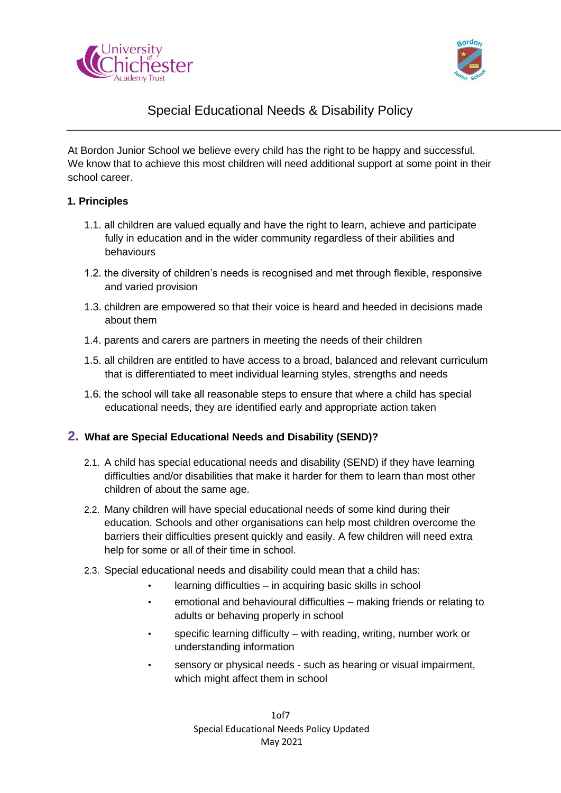



# Special Educational Needs & Disability Policy

At Bordon Junior School we believe every child has the right to be happy and successful. We know that to achieve this most children will need additional support at some point in their school career.

#### **1. Principles**

- 1.1. all children are valued equally and have the right to learn, achieve and participate fully in education and in the wider community regardless of their abilities and behaviours
- 1.2. the diversity of children's needs is recognised and met through flexible, responsive and varied provision
- 1.3. children are empowered so that their voice is heard and heeded in decisions made about them
- 1.4. parents and carers are partners in meeting the needs of their children
- 1.5. all children are entitled to have access to a broad, balanced and relevant curriculum that is differentiated to meet individual learning styles, strengths and needs
- 1.6. the school will take all reasonable steps to ensure that where a child has special educational needs, they are identified early and appropriate action taken

# **2. What are Special Educational Needs and Disability (SEND)?**

- 2.1. A child has special educational needs and disability (SEND) if they have learning difficulties and/or disabilities that make it harder for them to learn than most other children of about the same age.
- 2.2. Many children will have special educational needs of some kind during their education. Schools and other organisations can help most children overcome the barriers their difficulties present quickly and easily. A few children will need extra help for some or all of their time in school.
- 2.3. Special educational needs and disability could mean that a child has:
	- learning difficulties in acquiring basic skills in school
	- emotional and behavioural difficulties making friends or relating to adults or behaving properly in school
	- specific learning difficulty with reading, writing, number work or understanding information
	- sensory or physical needs such as hearing or visual impairment, which might affect them in school

1of7 Special Educational Needs Policy Updated May 2021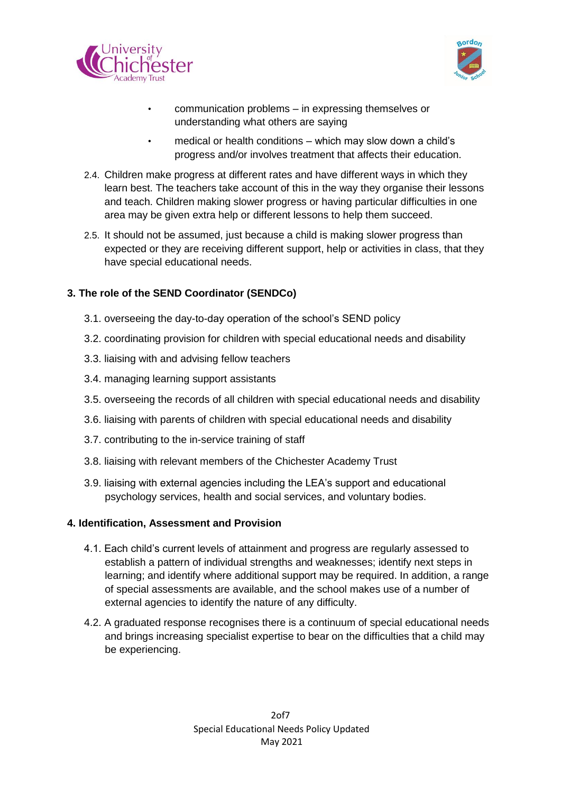



- communication problems in expressing themselves or understanding what others are saying
- medical or health conditions which may slow down a child's progress and/or involves treatment that affects their education.
- 2.4. Children make progress at different rates and have different ways in which they learn best. The teachers take account of this in the way they organise their lessons and teach. Children making slower progress or having particular difficulties in one area may be given extra help or different lessons to help them succeed.
- 2.5. It should not be assumed, just because a child is making slower progress than expected or they are receiving different support, help or activities in class, that they have special educational needs.

# **3. The role of the SEND Coordinator (SENDCo)**

- 3.1. overseeing the day-to-day operation of the school's SEND policy
- 3.2. coordinating provision for children with special educational needs and disability
- 3.3. liaising with and advising fellow teachers
- 3.4. managing learning support assistants
- 3.5. overseeing the records of all children with special educational needs and disability
- 3.6. liaising with parents of children with special educational needs and disability
- 3.7. contributing to the in-service training of staff
- 3.8. liaising with relevant members of the Chichester Academy Trust
- 3.9. liaising with external agencies including the LEA's support and educational psychology services, health and social services, and voluntary bodies.

#### **4. Identification, Assessment and Provision**

- 4.1. Each child's current levels of attainment and progress are regularly assessed to establish a pattern of individual strengths and weaknesses; identify next steps in learning; and identify where additional support may be required. In addition, a range of special assessments are available, and the school makes use of a number of external agencies to identify the nature of any difficulty.
- 4.2. A graduated response recognises there is a continuum of special educational needs and brings increasing specialist expertise to bear on the difficulties that a child may be experiencing.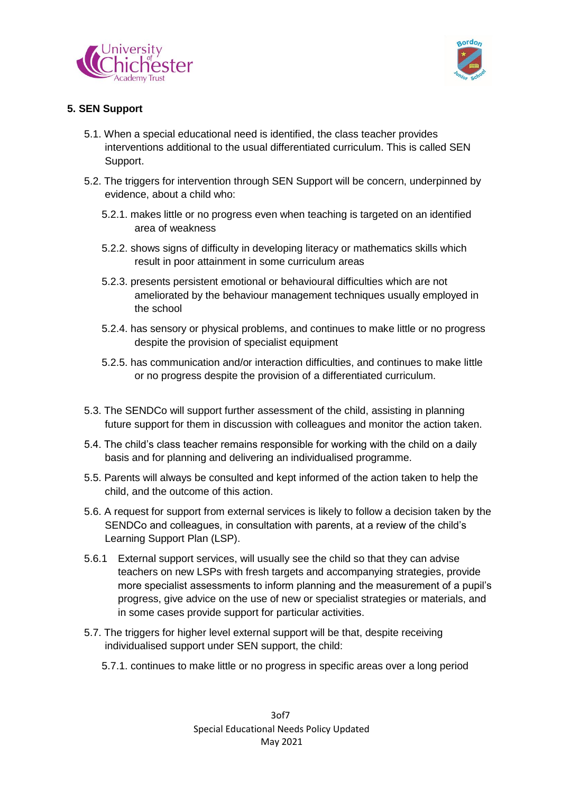



# **5. SEN Support**

- 5.1. When a special educational need is identified, the class teacher provides interventions additional to the usual differentiated curriculum. This is called SEN Support.
- 5.2. The triggers for intervention through SEN Support will be concern, underpinned by evidence, about a child who:
	- 5.2.1. makes little or no progress even when teaching is targeted on an identified area of weakness
	- 5.2.2. shows signs of difficulty in developing literacy or mathematics skills which result in poor attainment in some curriculum areas
	- 5.2.3. presents persistent emotional or behavioural difficulties which are not ameliorated by the behaviour management techniques usually employed in the school
	- 5.2.4. has sensory or physical problems, and continues to make little or no progress despite the provision of specialist equipment
	- 5.2.5. has communication and/or interaction difficulties, and continues to make little or no progress despite the provision of a differentiated curriculum.
- 5.3. The SENDCo will support further assessment of the child, assisting in planning future support for them in discussion with colleagues and monitor the action taken.
- 5.4. The child's class teacher remains responsible for working with the child on a daily basis and for planning and delivering an individualised programme.
- 5.5. Parents will always be consulted and kept informed of the action taken to help the child, and the outcome of this action.
- 5.6. A request for support from external services is likely to follow a decision taken by the SENDCo and colleagues, in consultation with parents, at a review of the child's Learning Support Plan (LSP).
- 5.6.1 External support services, will usually see the child so that they can advise teachers on new LSPs with fresh targets and accompanying strategies, provide more specialist assessments to inform planning and the measurement of a pupil's progress, give advice on the use of new or specialist strategies or materials, and in some cases provide support for particular activities.
- 5.7. The triggers for higher level external support will be that, despite receiving individualised support under SEN support, the child:
	- 5.7.1. continues to make little or no progress in specific areas over a long period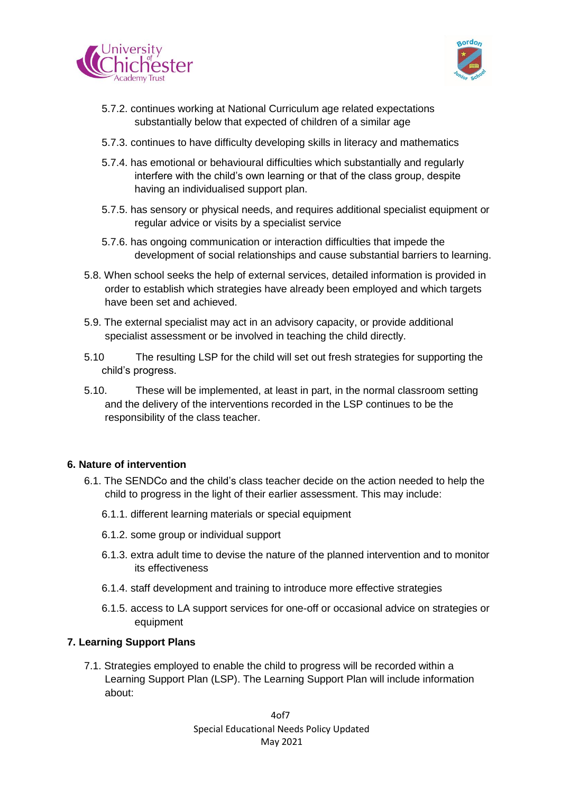



- 5.7.2. continues working at National Curriculum age related expectations substantially below that expected of children of a similar age
- 5.7.3. continues to have difficulty developing skills in literacy and mathematics
- 5.7.4. has emotional or behavioural difficulties which substantially and regularly interfere with the child's own learning or that of the class group, despite having an individualised support plan.
- 5.7.5. has sensory or physical needs, and requires additional specialist equipment or regular advice or visits by a specialist service
- 5.7.6. has ongoing communication or interaction difficulties that impede the development of social relationships and cause substantial barriers to learning.
- 5.8. When school seeks the help of external services, detailed information is provided in order to establish which strategies have already been employed and which targets have been set and achieved.
- 5.9. The external specialist may act in an advisory capacity, or provide additional specialist assessment or be involved in teaching the child directly.
- 5.10 The resulting LSP for the child will set out fresh strategies for supporting the child's progress.
- 5.10. These will be implemented, at least in part, in the normal classroom setting and the delivery of the interventions recorded in the LSP continues to be the responsibility of the class teacher.

#### **6. Nature of intervention**

- 6.1. The SENDCo and the child's class teacher decide on the action needed to help the child to progress in the light of their earlier assessment. This may include:
	- 6.1.1. different learning materials or special equipment
	- 6.1.2. some group or individual support
	- 6.1.3. extra adult time to devise the nature of the planned intervention and to monitor its effectiveness
	- 6.1.4. staff development and training to introduce more effective strategies
	- 6.1.5. access to LA support services for one-off or occasional advice on strategies or equipment

#### **7. Learning Support Plans**

7.1. Strategies employed to enable the child to progress will be recorded within a Learning Support Plan (LSP). The Learning Support Plan will include information about:

> 4of7 Special Educational Needs Policy Updated May 2021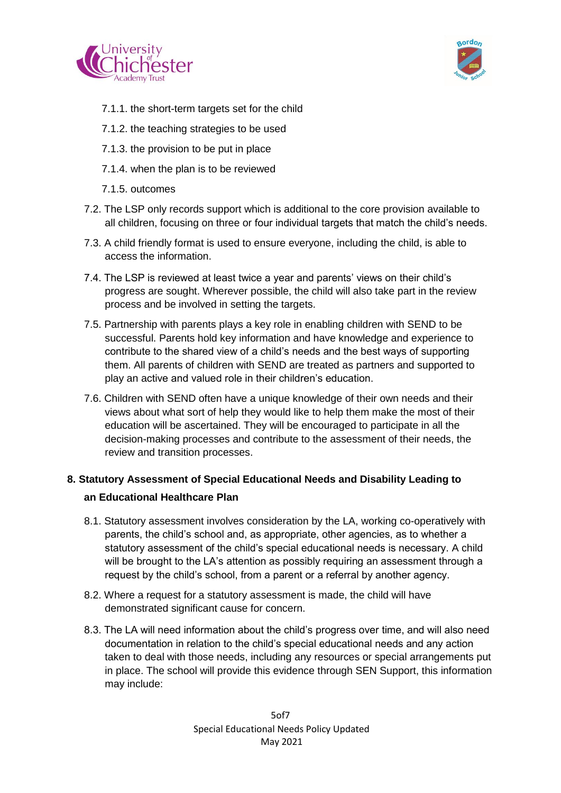



- 7.1.1. the short-term targets set for the child
- 7.1.2. the teaching strategies to be used
- 7.1.3. the provision to be put in place
- 7.1.4. when the plan is to be reviewed
- 7.1.5. outcomes
- 7.2. The LSP only records support which is additional to the core provision available to all children, focusing on three or four individual targets that match the child's needs.
- 7.3. A child friendly format is used to ensure everyone, including the child, is able to access the information.
- 7.4. The LSP is reviewed at least twice a year and parents' views on their child's progress are sought. Wherever possible, the child will also take part in the review process and be involved in setting the targets.
- 7.5. Partnership with parents plays a key role in enabling children with SEND to be successful. Parents hold key information and have knowledge and experience to contribute to the shared view of a child's needs and the best ways of supporting them. All parents of children with SEND are treated as partners and supported to play an active and valued role in their children's education.
- 7.6. Children with SEND often have a unique knowledge of their own needs and their views about what sort of help they would like to help them make the most of their education will be ascertained. They will be encouraged to participate in all the decision-making processes and contribute to the assessment of their needs, the review and transition processes.

# **8. Statutory Assessment of Special Educational Needs and Disability Leading to an Educational Healthcare Plan**

- 8.1. Statutory assessment involves consideration by the LA, working co-operatively with parents, the child's school and, as appropriate, other agencies, as to whether a statutory assessment of the child's special educational needs is necessary. A child will be brought to the LA's attention as possibly requiring an assessment through a request by the child's school, from a parent or a referral by another agency.
- 8.2. Where a request for a statutory assessment is made, the child will have demonstrated significant cause for concern.
- 8.3. The LA will need information about the child's progress over time, and will also need documentation in relation to the child's special educational needs and any action taken to deal with those needs, including any resources or special arrangements put in place. The school will provide this evidence through SEN Support, this information may include: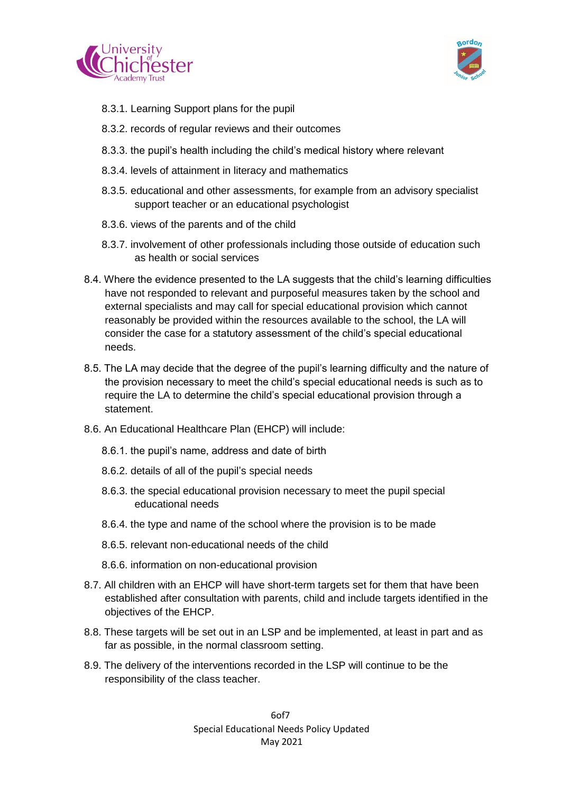



- 8.3.1. Learning Support plans for the pupil
- 8.3.2. records of regular reviews and their outcomes
- 8.3.3. the pupil's health including the child's medical history where relevant
- 8.3.4. levels of attainment in literacy and mathematics
- 8.3.5. educational and other assessments, for example from an advisory specialist support teacher or an educational psychologist
- 8.3.6. views of the parents and of the child
- 8.3.7. involvement of other professionals including those outside of education such as health or social services
- 8.4. Where the evidence presented to the LA suggests that the child's learning difficulties have not responded to relevant and purposeful measures taken by the school and external specialists and may call for special educational provision which cannot reasonably be provided within the resources available to the school, the LA will consider the case for a statutory assessment of the child's special educational needs.
- 8.5. The LA may decide that the degree of the pupil's learning difficulty and the nature of the provision necessary to meet the child's special educational needs is such as to require the LA to determine the child's special educational provision through a statement.
- 8.6. An Educational Healthcare Plan (EHCP) will include:
	- 8.6.1. the pupil's name, address and date of birth
	- 8.6.2. details of all of the pupil's special needs
	- 8.6.3. the special educational provision necessary to meet the pupil special educational needs
	- 8.6.4. the type and name of the school where the provision is to be made
	- 8.6.5. relevant non-educational needs of the child
	- 8.6.6. information on non-educational provision
- 8.7. All children with an EHCP will have short-term targets set for them that have been established after consultation with parents, child and include targets identified in the objectives of the EHCP.
- 8.8. These targets will be set out in an LSP and be implemented, at least in part and as far as possible, in the normal classroom setting.
- 8.9. The delivery of the interventions recorded in the LSP will continue to be the responsibility of the class teacher.

6of7 Special Educational Needs Policy Updated May 2021